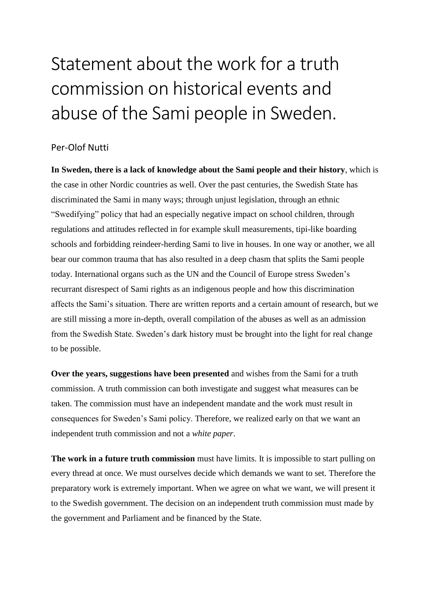## Statement about the work for a truth commission on historical events and abuse of the Sami people in Sweden.

## Per-Olof Nutti

**In Sweden, there is a lack of knowledge about the Sami people and their history**, which is the case in other Nordic countries as well. Over the past centuries, the Swedish State has discriminated the Sami in many ways; through unjust legislation, through an ethnic "Swedifying" policy that had an especially negative impact on school children, through regulations and attitudes reflected in for example skull measurements, tipi-like boarding schools and forbidding reindeer-herding Sami to live in houses. In one way or another, we all bear our common trauma that has also resulted in a deep chasm that splits the Sami people today. International organs such as the UN and the Council of Europe stress Sweden's recurrant disrespect of Sami rights as an indigenous people and how this discrimination affects the Sami's situation. There are written reports and a certain amount of research, but we are still missing a more in-depth, overall compilation of the abuses as well as an admission from the Swedish State. Sweden's dark history must be brought into the light for real change to be possible.

**Over the years, suggestions have been presented** and wishes from the Sami for a truth commission. A truth commission can both investigate and suggest what measures can be taken. The commission must have an independent mandate and the work must result in consequences for Sweden's Sami policy. Therefore, we realized early on that we want an independent truth commission and not a *white paper*.

**The work in a future truth commission** must have limits. It is impossible to start pulling on every thread at once. We must ourselves decide which demands we want to set. Therefore the preparatory work is extremely important. When we agree on what we want, we will present it to the Swedish government. The decision on an independent truth commission must made by the government and Parliament and be financed by the State.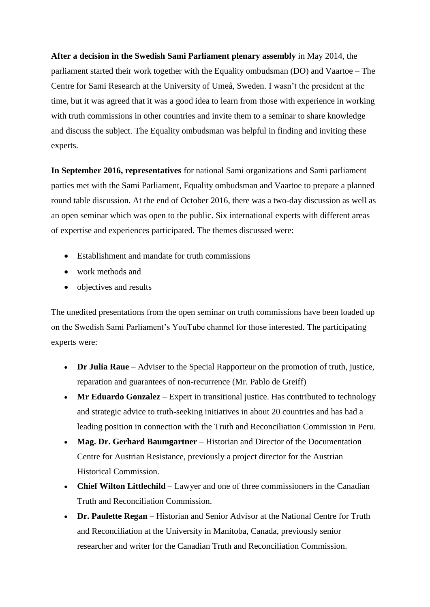**After a decision in the Swedish Sami Parliament plenary assembly** in May 2014, the parliament started their work together with the Equality ombudsman (DO) and Vaartoe – The Centre for Sami Research at the University of Umeå, Sweden. I wasn't the president at the time, but it was agreed that it was a good idea to learn from those with experience in working with truth commissions in other countries and invite them to a seminar to share knowledge and discuss the subject. The Equality ombudsman was helpful in finding and inviting these experts.

**In September 2016, representatives** for national Sami organizations and Sami parliament parties met with the Sami Parliament, Equality ombudsman and Vaartoe to prepare a planned round table discussion. At the end of October 2016, there was a two-day discussion as well as an open seminar which was open to the public. Six international experts with different areas of expertise and experiences participated. The themes discussed were:

- Establishment and mandate for truth commissions
- work methods and
- objectives and results

The unedited presentations from the open seminar on truth commissions have been loaded up on the Swedish Sami Parliament's YouTube channel for those interested. The participating experts were:

- **Dr Julia Raue** Adviser to the Special Rapporteur on the promotion of truth, justice, reparation and guarantees of non-recurrence (Mr. Pablo de Greiff)
- Mr Eduardo Gonzalez Expert in transitional justice. Has contributed to technology and strategic advice to truth-seeking initiatives in about 20 countries and has had a leading position in connection with the Truth and Reconciliation Commission in Peru.
- **Mag. Dr. Gerhard Baumgartner** Historian and Director of the Documentation Centre for Austrian Resistance, previously a project director for the Austrian Historical Commission.
- **Chief Wilton Littlechild** Lawyer and one of three commissioners in the Canadian Truth and Reconciliation Commission.
- **Dr. Paulette Regan** Historian and Senior Advisor at the National Centre for Truth and Reconciliation at the University in Manitoba, Canada, previously senior researcher and writer for the Canadian Truth and Reconciliation Commission.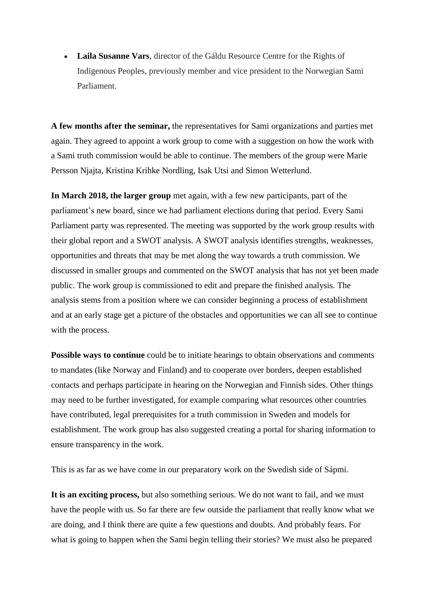**Laila Susanne Vars**, director of the Gáldu Resource Centre for the Rights of Indigenous Peoples, previously member and vice president to the Norwegian Sami Parliament.

**A few months after the seminar,** the representatives for Sami organizations and parties met again. They agreed to appoint a work group to come with a suggestion on how the work with a Sami truth commission would be able to continue. The members of the group were Marie Persson Njajta, Kristina Krihke Nordling, Isak Utsi and Simon Wetterlund.

**In March 2018, the larger group** met again, with a few new participants, part of the parliament's new board, since we had parliament elections during that period. Every Sami Parliament party was represented. The meeting was supported by the work group results with their global report and a SWOT analysis. A SWOT analysis identifies strengths, weaknesses, opportunities and threats that may be met along the way towards a truth commission. We discussed in smaller groups and commented on the SWOT analysis that has not yet been made public. The work group is commissioned to edit and prepare the finished analysis. The analysis stems from a position where we can consider beginning a process of establishment and at an early stage get a picture of the obstacles and opportunities we can all see to continue with the process.

**Possible ways to continue** could be to initiate hearings to obtain observations and comments to mandates (like Norway and Finland) and to cooperate over borders, deepen established contacts and perhaps participate in hearing on the Norwegian and Finnish sides. Other things may need to be further investigated, for example comparing what resources other countries have contributed, legal prerequisites for a truth commission in Sweden and models for establishment. The work group has also suggested creating a portal for sharing information to ensure transparency in the work.

This is as far as we have come in our preparatory work on the Swedish side of Sápmi.

**It is an exciting process,** but also something serious. We do not want to fail, and we must have the people with us. So far there are few outside the parliament that really know what we are doing, and I think there are quite a few questions and doubts. And probably fears. For what is going to happen when the Sami begin telling their stories? We must also be prepared